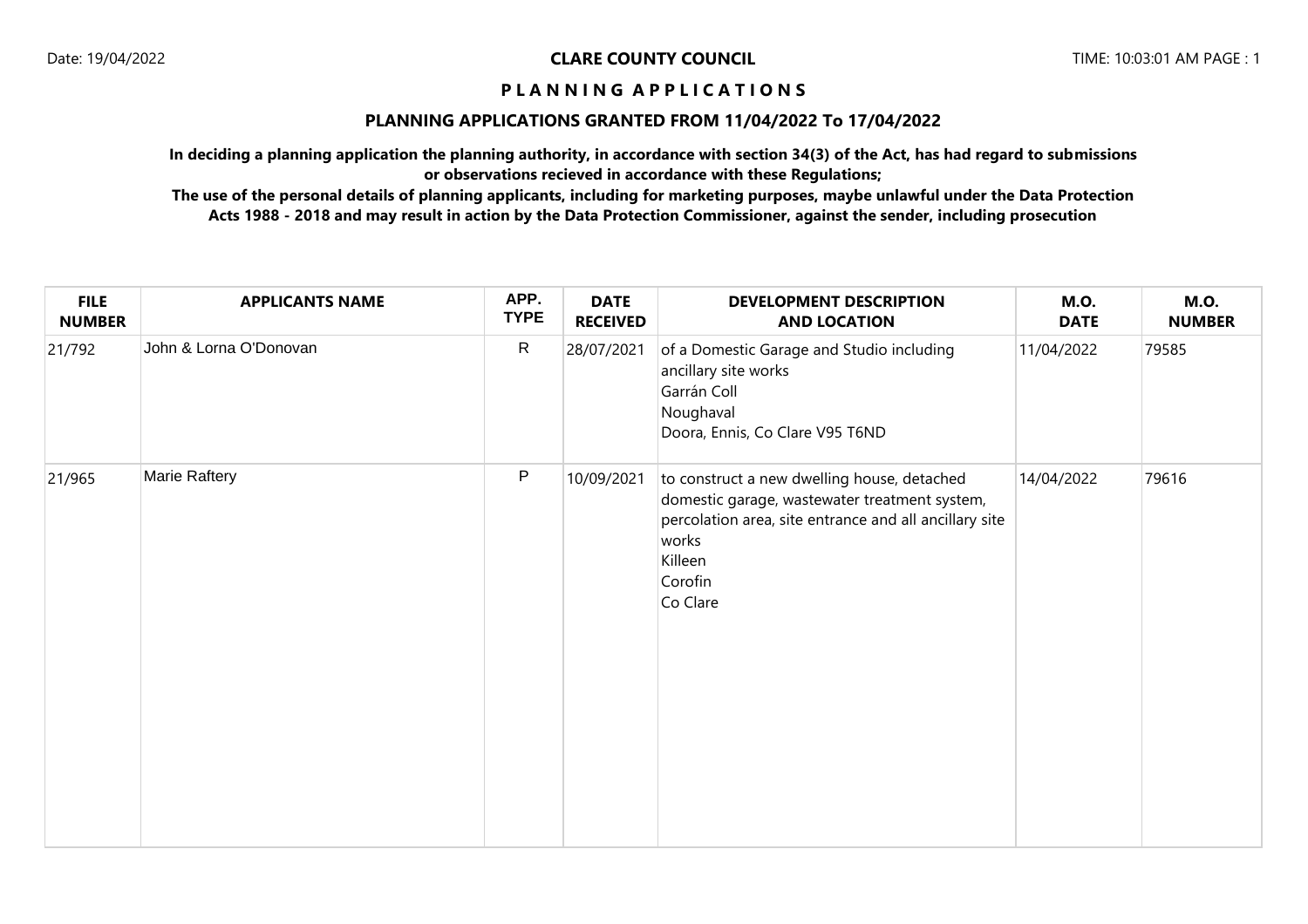## **PLANNING APPLICATIONS GRANTED FROM 11/04/2022 To 17/04/2022**

**In deciding a planning application the planning authority, in accordance with section 34(3) of the Act, has had regard to submissions or observations recieved in accordance with these Regulations;**

| <b>FILE</b><br><b>NUMBER</b> | <b>APPLICANTS NAME</b> | APP.<br><b>TYPE</b> | <b>DATE</b><br><b>RECEIVED</b> | <b>DEVELOPMENT DESCRIPTION</b><br><b>AND LOCATION</b>                                                                                                                                             | <b>M.O.</b><br><b>DATE</b> | <b>M.O.</b><br><b>NUMBER</b> |
|------------------------------|------------------------|---------------------|--------------------------------|---------------------------------------------------------------------------------------------------------------------------------------------------------------------------------------------------|----------------------------|------------------------------|
| 21/792                       | John & Lorna O'Donovan | ${\sf R}$           | 28/07/2021                     | of a Domestic Garage and Studio including<br>ancillary site works<br>Garrán Coll<br>Noughaval<br>Doora, Ennis, Co Clare V95 T6ND                                                                  | 11/04/2022                 | 79585                        |
| 21/965                       | Marie Raftery          | P                   | 10/09/2021                     | to construct a new dwelling house, detached<br>domestic garage, wastewater treatment system,<br>percolation area, site entrance and all ancillary site<br>works<br>Killeen<br>Corofin<br>Co Clare | 14/04/2022                 | 79616                        |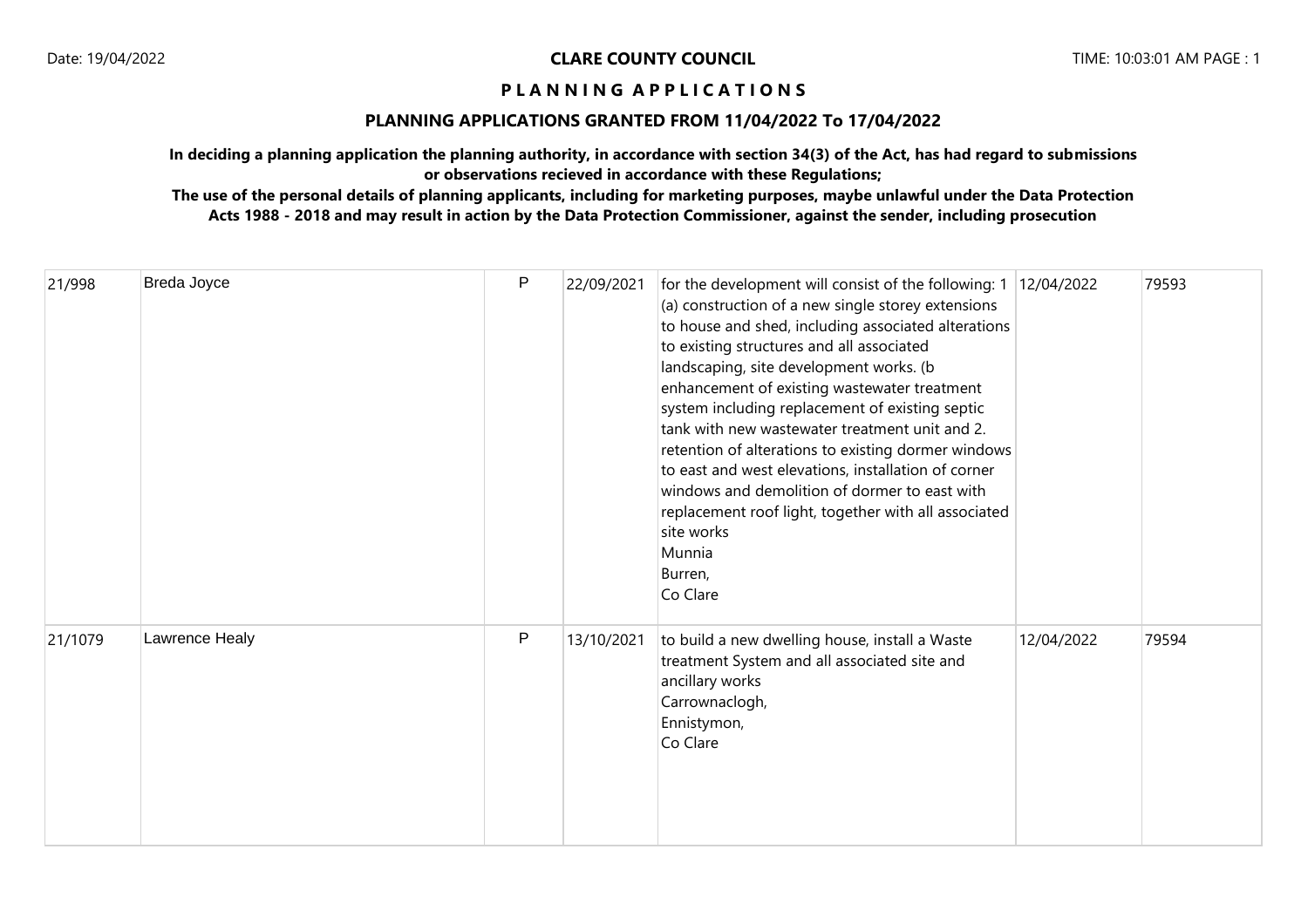## **PLANNING APPLICATIONS GRANTED FROM 11/04/2022 To 17/04/2022**

**In deciding a planning application the planning authority, in accordance with section 34(3) of the Act, has had regard to submissions or observations recieved in accordance with these Regulations;**

| 21/998  | Breda Joyce    | P            | 22/09/2021 | for the development will consist of the following: $1 \mid 12/04/2022$<br>(a) construction of a new single storey extensions<br>to house and shed, including associated alterations<br>to existing structures and all associated<br>landscaping, site development works. (b<br>enhancement of existing wastewater treatment<br>system including replacement of existing septic<br>tank with new wastewater treatment unit and 2.<br>retention of alterations to existing dormer windows<br>to east and west elevations, installation of corner<br>windows and demolition of dormer to east with<br>replacement roof light, together with all associated<br>site works<br>Munnia<br>Burren,<br>Co Clare |            | 79593 |
|---------|----------------|--------------|------------|--------------------------------------------------------------------------------------------------------------------------------------------------------------------------------------------------------------------------------------------------------------------------------------------------------------------------------------------------------------------------------------------------------------------------------------------------------------------------------------------------------------------------------------------------------------------------------------------------------------------------------------------------------------------------------------------------------|------------|-------|
| 21/1079 | Lawrence Healy | $\mathsf{P}$ | 13/10/2021 | to build a new dwelling house, install a Waste<br>treatment System and all associated site and<br>ancillary works<br>Carrownaclogh,<br>Ennistymon,<br>Co Clare                                                                                                                                                                                                                                                                                                                                                                                                                                                                                                                                         | 12/04/2022 | 79594 |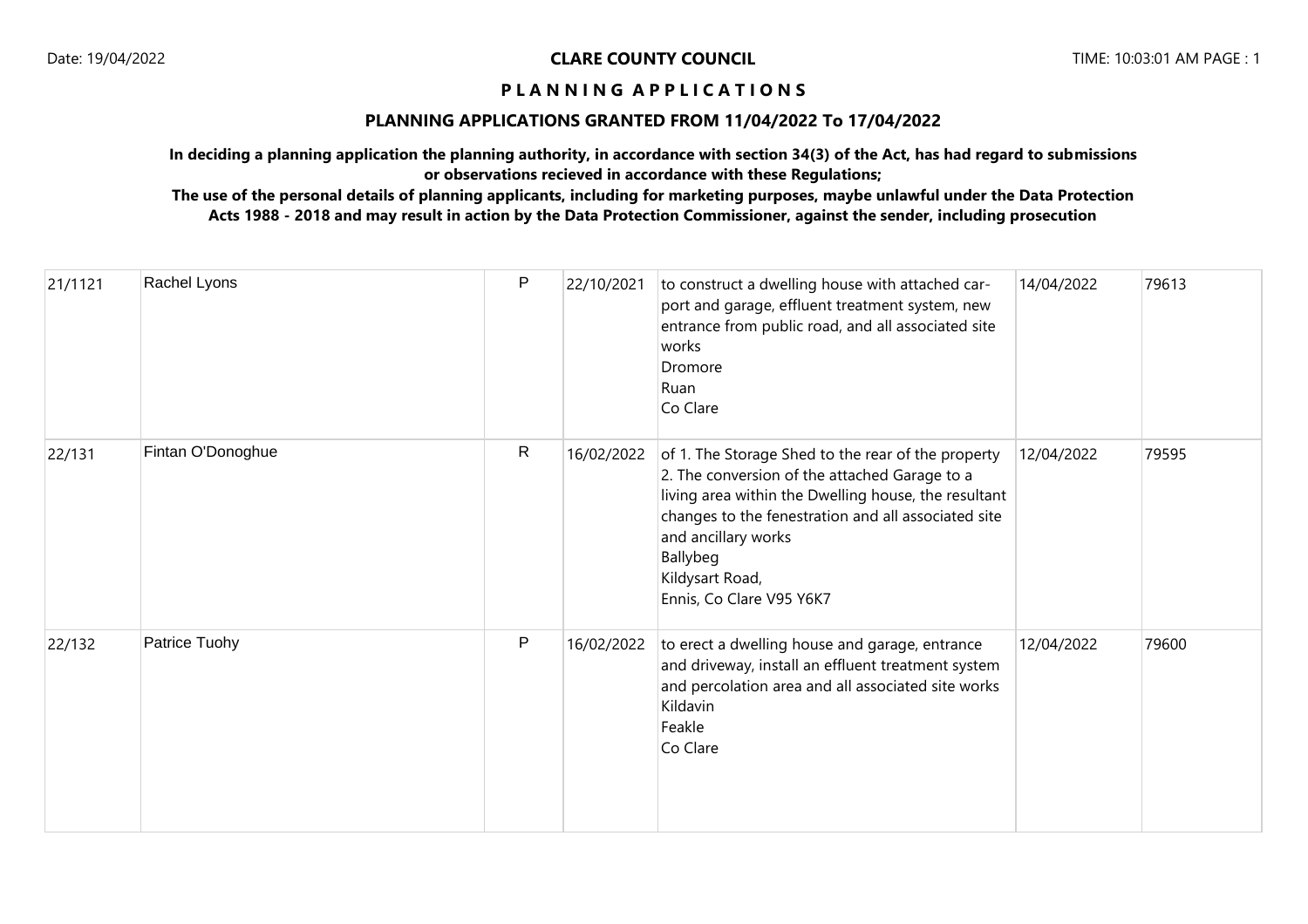## **PLANNING APPLICATIONS GRANTED FROM 11/04/2022 To 17/04/2022**

**In deciding a planning application the planning authority, in accordance with section 34(3) of the Act, has had regard to submissions or observations recieved in accordance with these Regulations;**

| 21/1121 | Rachel Lyons      | P            | 22/10/2021 | to construct a dwelling house with attached car-<br>port and garage, effluent treatment system, new<br>entrance from public road, and all associated site<br>works<br>Dromore<br>Ruan<br>Co Clare                                                                                                    | 14/04/2022 | 79613 |
|---------|-------------------|--------------|------------|------------------------------------------------------------------------------------------------------------------------------------------------------------------------------------------------------------------------------------------------------------------------------------------------------|------------|-------|
| 22/131  | Fintan O'Donoghue | $\mathsf{R}$ | 16/02/2022 | of 1. The Storage Shed to the rear of the property<br>2. The conversion of the attached Garage to a<br>living area within the Dwelling house, the resultant<br>changes to the fenestration and all associated site<br>and ancillary works<br>Ballybeg<br>Kildysart Road,<br>Ennis, Co Clare V95 Y6K7 | 12/04/2022 | 79595 |
| 22/132  | Patrice Tuohy     | P            | 16/02/2022 | to erect a dwelling house and garage, entrance<br>and driveway, install an effluent treatment system<br>and percolation area and all associated site works<br>Kildavin<br>Feakle<br>Co Clare                                                                                                         | 12/04/2022 | 79600 |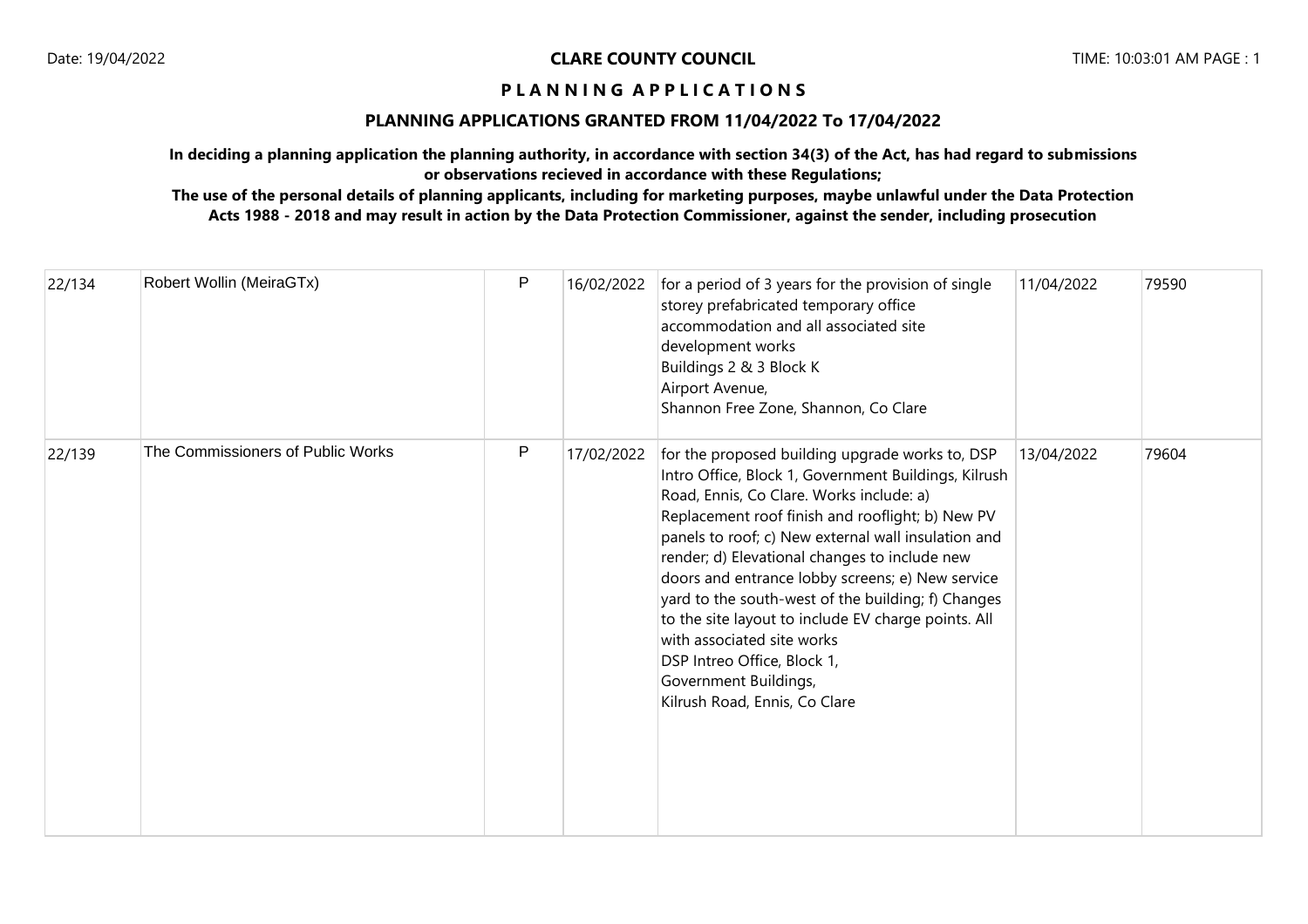## **PLANNING APPLICATIONS GRANTED FROM 11/04/2022 To 17/04/2022**

**In deciding a planning application the planning authority, in accordance with section 34(3) of the Act, has had regard to submissions or observations recieved in accordance with these Regulations;**

| 22/134 | Robert Wollin (MeiraGTx)          | P | 16/02/2022 | for a period of 3 years for the provision of single<br>storey prefabricated temporary office<br>accommodation and all associated site<br>development works<br>Buildings 2 & 3 Block K<br>Airport Avenue,<br>Shannon Free Zone, Shannon, Co Clare                                                                                                                                                                                                                                                                                                                                                        | 11/04/2022 | 79590 |
|--------|-----------------------------------|---|------------|---------------------------------------------------------------------------------------------------------------------------------------------------------------------------------------------------------------------------------------------------------------------------------------------------------------------------------------------------------------------------------------------------------------------------------------------------------------------------------------------------------------------------------------------------------------------------------------------------------|------------|-------|
| 22/139 | The Commissioners of Public Works | P | 17/02/2022 | for the proposed building upgrade works to, DSP<br>Intro Office, Block 1, Government Buildings, Kilrush<br>Road, Ennis, Co Clare. Works include: a)<br>Replacement roof finish and rooflight; b) New PV<br>panels to roof; c) New external wall insulation and<br>render; d) Elevational changes to include new<br>doors and entrance lobby screens; e) New service<br>yard to the south-west of the building; f) Changes<br>to the site layout to include EV charge points. All<br>with associated site works<br>DSP Intreo Office, Block 1,<br>Government Buildings,<br>Kilrush Road, Ennis, Co Clare | 13/04/2022 | 79604 |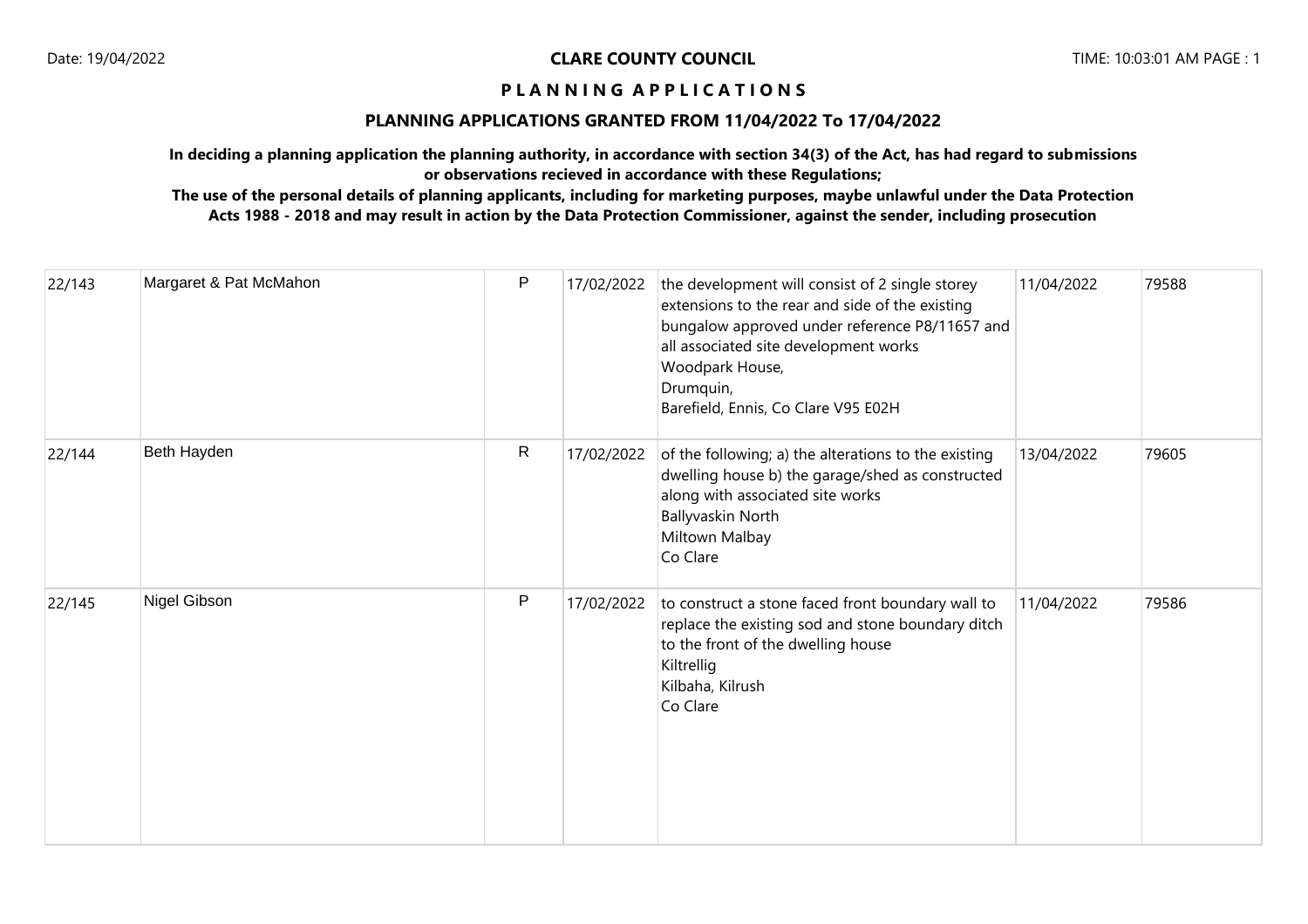## **PLANNING APPLICATIONS GRANTED FROM 11/04/2022 To 17/04/2022**

**In deciding a planning application the planning authority, in accordance with section 34(3) of the Act, has had regard to submissions or observations recieved in accordance with these Regulations;**

| 22/143 | Margaret & Pat McMahon | P            | 17/02/2022 | the development will consist of 2 single storey<br>extensions to the rear and side of the existing<br>bungalow approved under reference P8/11657 and<br>all associated site development works<br>Woodpark House,<br>Drumquin,<br>Barefield, Ennis, Co Clare V95 E02H | 11/04/2022 | 79588 |
|--------|------------------------|--------------|------------|----------------------------------------------------------------------------------------------------------------------------------------------------------------------------------------------------------------------------------------------------------------------|------------|-------|
| 22/144 | Beth Hayden            | $\mathsf{R}$ | 17/02/2022 | of the following; a) the alterations to the existing<br>dwelling house b) the garage/shed as constructed<br>along with associated site works<br><b>Ballyvaskin North</b><br>Miltown Malbay<br>Co Clare                                                               | 13/04/2022 | 79605 |
| 22/145 | Nigel Gibson           | P            | 17/02/2022 | to construct a stone faced front boundary wall to<br>replace the existing sod and stone boundary ditch<br>to the front of the dwelling house<br>Kiltrellig<br>Kilbaha, Kilrush<br>Co Clare                                                                           | 11/04/2022 | 79586 |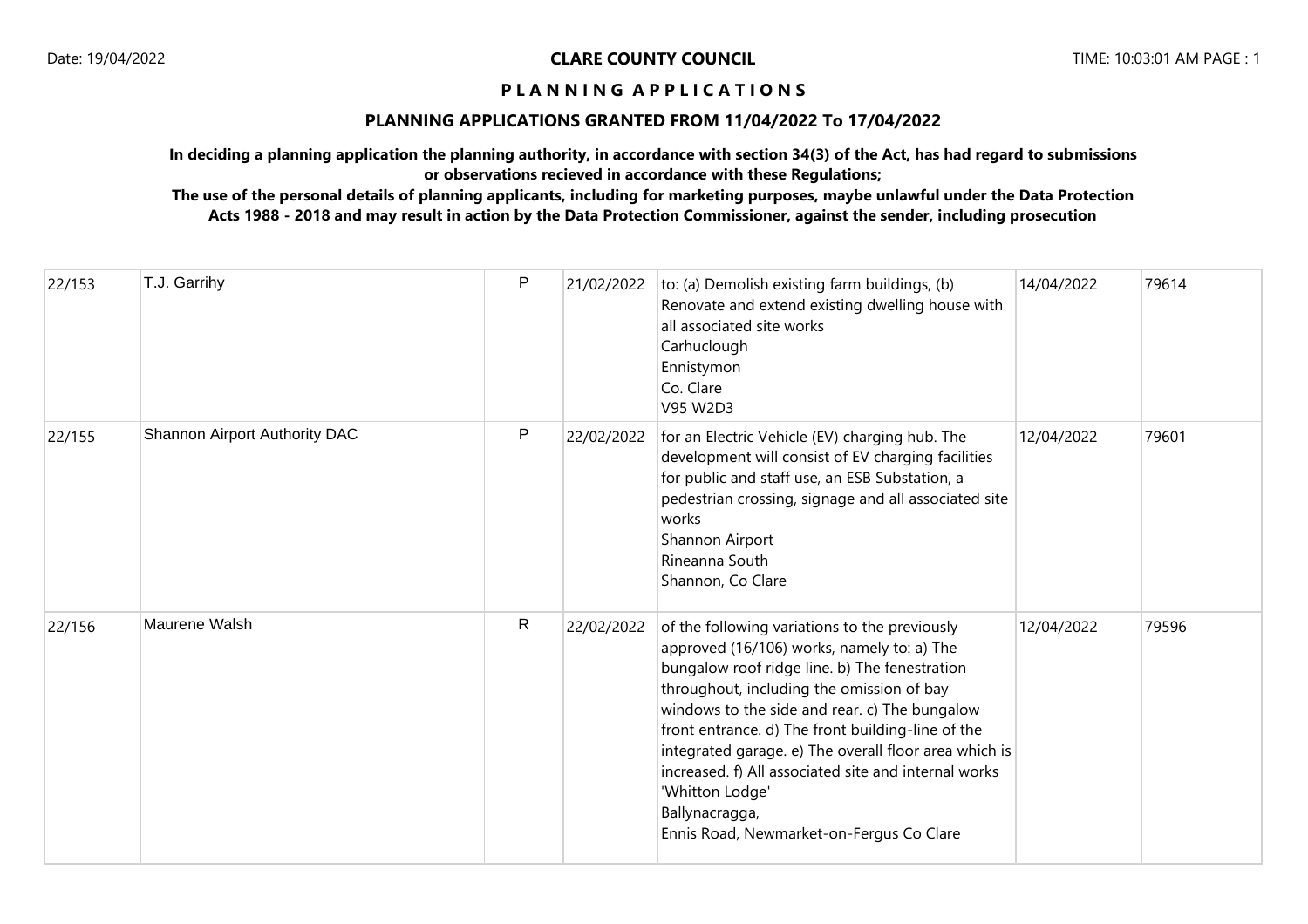# **PLANNING APPLICATIONS GRANTED FROM 11/04/2022 To 17/04/2022**

**In deciding a planning application the planning authority, in accordance with section 34(3) of the Act, has had regard to submissions or observations recieved in accordance with these Regulations;**

| 22/153 | T.J. Garrihy                  | $\mathsf{P}$ | 21/02/2022 | to: (a) Demolish existing farm buildings, (b)<br>Renovate and extend existing dwelling house with<br>all associated site works<br>Carhuclough<br>Ennistymon<br>Co. Clare<br>V95 W2D3                                                                                                                                                                                                                                                                                                              | 14/04/2022 | 79614 |
|--------|-------------------------------|--------------|------------|---------------------------------------------------------------------------------------------------------------------------------------------------------------------------------------------------------------------------------------------------------------------------------------------------------------------------------------------------------------------------------------------------------------------------------------------------------------------------------------------------|------------|-------|
| 22/155 | Shannon Airport Authority DAC | P            | 22/02/2022 | for an Electric Vehicle (EV) charging hub. The<br>development will consist of EV charging facilities<br>for public and staff use, an ESB Substation, a<br>pedestrian crossing, signage and all associated site<br>works<br>Shannon Airport<br>Rineanna South<br>Shannon, Co Clare                                                                                                                                                                                                                 | 12/04/2022 | 79601 |
| 22/156 | Maurene Walsh                 | $\mathsf{R}$ | 22/02/2022 | of the following variations to the previously<br>approved (16/106) works, namely to: a) The<br>bungalow roof ridge line. b) The fenestration<br>throughout, including the omission of bay<br>windows to the side and rear. c) The bungalow<br>front entrance. d) The front building-line of the<br>integrated garage. e) The overall floor area which is<br>increased. f) All associated site and internal works<br>'Whitton Lodge'<br>Ballynacragga,<br>Ennis Road, Newmarket-on-Fergus Co Clare | 12/04/2022 | 79596 |